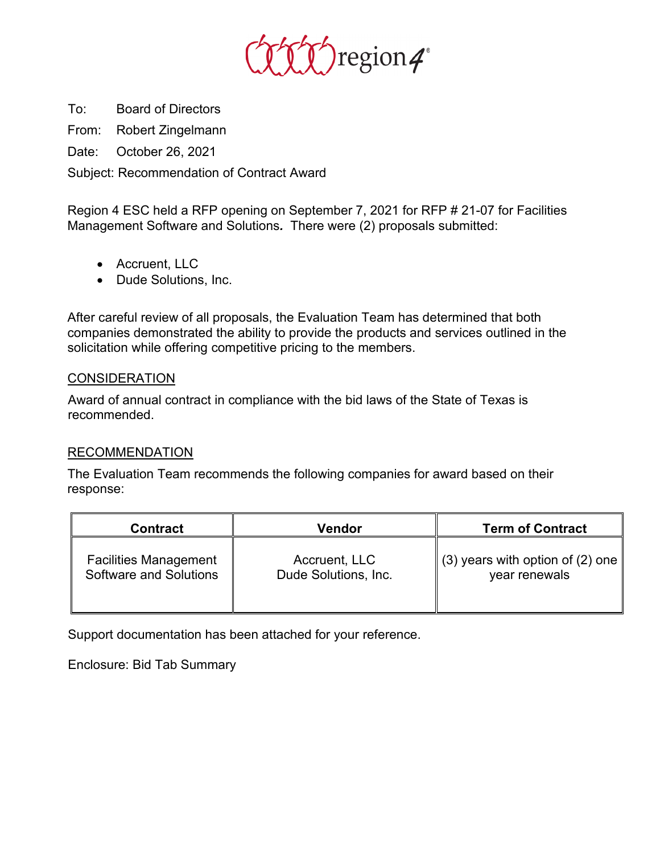

To: Board of Directors

From: Robert Zingelmann

Date: October 26, 2021

Subject: Recommendation of Contract Award

Region 4 ESC held a RFP opening on September 7, 2021 for RFP # 21-07 for Facilities Management Software and Solutions*.* There were (2) proposals submitted:

- Accruent, LLC
- Dude Solutions, Inc.

After careful review of all proposals, the Evaluation Team has determined that both companies demonstrated the ability to provide the products and services outlined in the solicitation while offering competitive pricing to the members.

## **CONSIDERATION**

Award of annual contract in compliance with the bid laws of the State of Texas is recommended.

## RECOMMENDATION

The Evaluation Team recommends the following companies for award based on their response:

| <b>Contract</b>               | Vendor               | <b>Term of Contract</b>                      |
|-------------------------------|----------------------|----------------------------------------------|
| <b>Facilities Management</b>  | Accruent, LLC        | $\parallel$ (3) years with option of (2) one |
| <b>Software and Solutions</b> | Dude Solutions, Inc. | year renewals                                |

Support documentation has been attached for your reference.

Enclosure: Bid Tab Summary